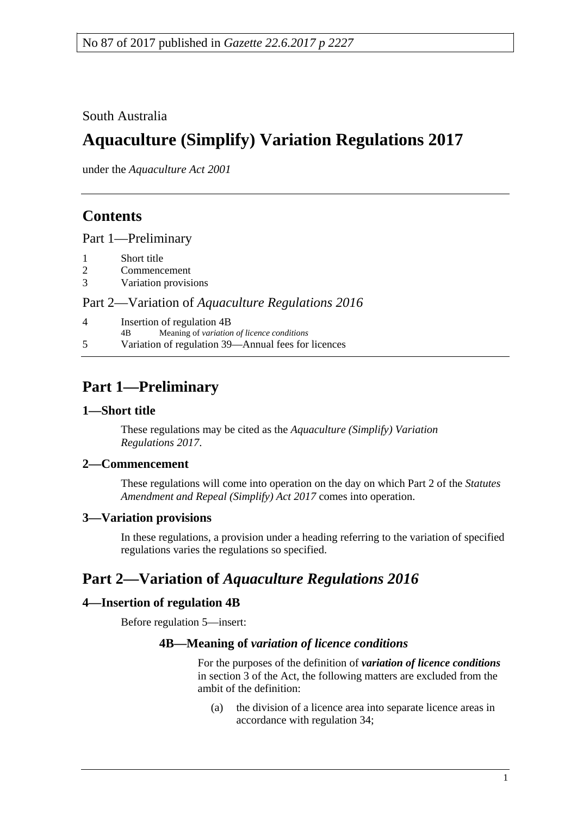South Australia

# **Aquaculture (Simplify) Variation Regulations 2017**

under the *Aquaculture Act 2001*

## **Contents**

Part [1—Preliminary](#page-0-0)

- 1 [Short title](#page-0-1)
- 2 [Commencement](#page-0-2)
- 3 [Variation provisions](#page-0-3)

#### Part 2—Variation of *[Aquaculture Regulations](#page-0-4) 2016*

4 [Insertion of regulation 4B](#page-0-5) 4B Meaning of *variation of licence conditions* 5 [Variation of regulation 39—Annual fees for licences](#page-1-0)

# <span id="page-0-0"></span>**Part 1—Preliminary**

#### <span id="page-0-1"></span>**1—Short title**

These regulations may be cited as the *Aquaculture (Simplify) Variation Regulations 2017*.

#### <span id="page-0-2"></span>**2—Commencement**

These regulations will come into operation on the day on which Part 2 of the *[Statutes](http://www.legislation.sa.gov.au/index.aspx?action=legref&type=act&legtitle=Statutes%20Amendment%20and%20Repeal%20(Simplify)%20Act%202017)  [Amendment and Repeal \(Simplify\) Act](http://www.legislation.sa.gov.au/index.aspx?action=legref&type=act&legtitle=Statutes%20Amendment%20and%20Repeal%20(Simplify)%20Act%202017) 2017* comes into operation.

#### <span id="page-0-3"></span>**3—Variation provisions**

In these regulations, a provision under a heading referring to the variation of specified regulations varies the regulations so specified.

### <span id="page-0-4"></span>**Part 2—Variation of** *Aquaculture Regulations 2016*

#### <span id="page-0-5"></span>**4—Insertion of regulation 4B**

Before regulation 5—insert:

#### **4B—Meaning of** *variation of licence conditions*

For the purposes of the definition of *variation of licence conditions* in section 3 of the Act, the following matters are excluded from the ambit of the definition:

(a) the division of a licence area into separate licence areas in accordance with regulation 34;